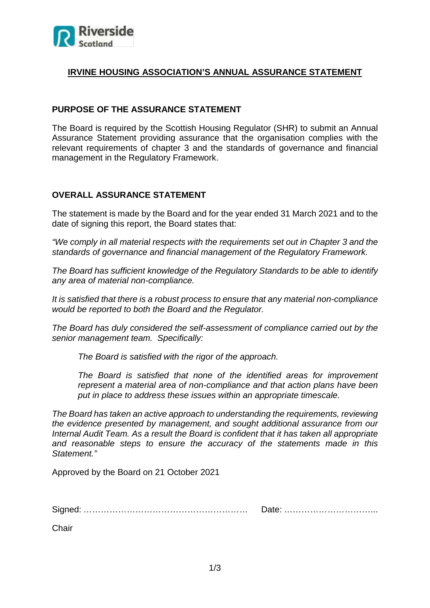

# **IRVINE HOUSING ASSOCIATION'S ANNUAL ASSURANCE STATEMENT**

# **PURPOSE OF THE ASSURANCE STATEMENT**

The Board is required by the Scottish Housing Regulator (SHR) to submit an Annual Assurance Statement providing assurance that the organisation complies with the relevant requirements of chapter 3 and the standards of governance and financial management in the Regulatory Framework.

## **OVERALL ASSURANCE STATEMENT**

The statement is made by the Board and for the year ended 31 March 2021 and to the date of signing this report, the Board states that:

*"We comply in all material respects with the requirements set out in Chapter 3 and the standards of governance and financial management of the Regulatory Framework.*

*The Board has sufficient knowledge of the Regulatory Standards to be able to identify any area of material non-compliance.* 

*It is satisfied that there is a robust process to ensure that any material non-compliance would be reported to both the Board and the Regulator.* 

*The Board has duly considered the self-assessment of compliance carried out by the senior management team. Specifically:*

*The Board is satisfied with the rigor of the approach.*

*The Board is satisfied that none of the identified areas for improvement represent a material area of non-compliance and that action plans have been put in place to address these issues within an appropriate timescale.*

*The Board has taken an active approach to understanding the requirements, reviewing the evidence presented by management, and sought additional assurance from our Internal Audit Team. As a result the Board is confident that it has taken all appropriate and reasonable steps to ensure the accuracy of the statements made in this Statement."*

Approved by the Board on 21 October 2021

Signed: ………………………………………………… Date: …………………………...

**Chair**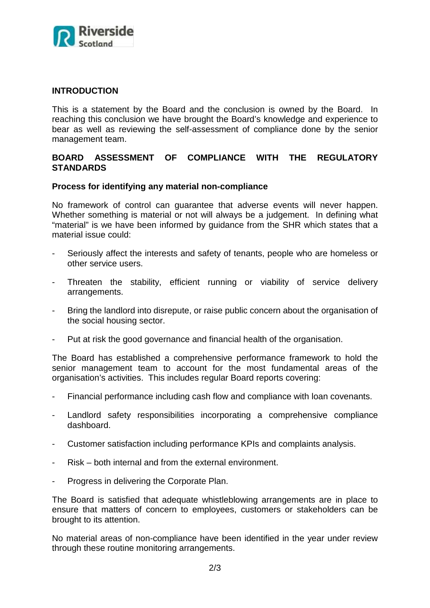

# **INTRODUCTION**

This is a statement by the Board and the conclusion is owned by the Board. In reaching this conclusion we have brought the Board's knowledge and experience to bear as well as reviewing the self-assessment of compliance done by the senior management team.

### **BOARD ASSESSMENT OF COMPLIANCE WITH THE REGULATORY STANDARDS**

### **Process for identifying any material non-compliance**

No framework of control can guarantee that adverse events will never happen. Whether something is material or not will always be a judgement. In defining what "material" is we have been informed by guidance from the SHR which states that a material issue could:

- Seriously affect the interests and safety of tenants, people who are homeless or other service users.
- Threaten the stability, efficient running or viability of service delivery arrangements.
- Bring the landlord into disrepute, or raise public concern about the organisation of the social housing sector.
- Put at risk the good governance and financial health of the organisation.

The Board has established a comprehensive performance framework to hold the senior management team to account for the most fundamental areas of the organisation's activities. This includes regular Board reports covering:

- Financial performance including cash flow and compliance with loan covenants.
- Landlord safety responsibilities incorporating a comprehensive compliance dashboard.
- Customer satisfaction including performance KPIs and complaints analysis.
- Risk both internal and from the external environment.
- Progress in delivering the Corporate Plan.

The Board is satisfied that adequate whistleblowing arrangements are in place to ensure that matters of concern to employees, customers or stakeholders can be brought to its attention.

No material areas of non-compliance have been identified in the year under review through these routine monitoring arrangements.